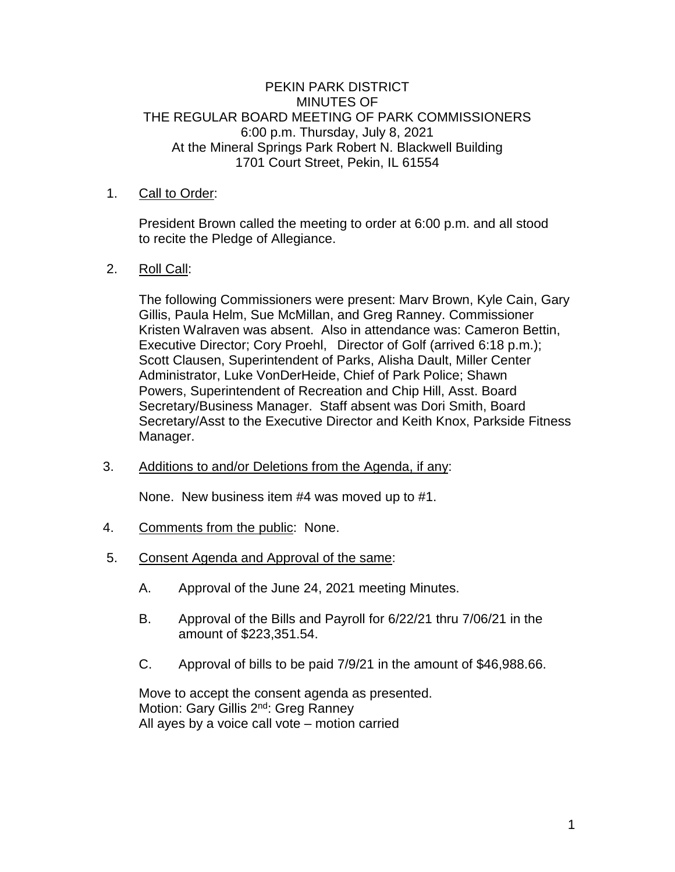# PEKIN PARK DISTRICT MINUTES OF THE REGULAR BOARD MEETING OF PARK COMMISSIONERS 6:00 p.m. Thursday, July 8, 2021 At the Mineral Springs Park Robert N. Blackwell Building 1701 Court Street, Pekin, IL 61554

# 1. Call to Order:

President Brown called the meeting to order at 6:00 p.m. and all stood to recite the Pledge of Allegiance.

### 2. Roll Call:

The following Commissioners were present: Marv Brown, Kyle Cain, Gary Gillis, Paula Helm, Sue McMillan, and Greg Ranney. Commissioner Kristen Walraven was absent. Also in attendance was: Cameron Bettin, Executive Director; Cory Proehl, Director of Golf (arrived 6:18 p.m.); Scott Clausen, Superintendent of Parks, Alisha Dault, Miller Center Administrator, Luke VonDerHeide, Chief of Park Police; Shawn Powers, Superintendent of Recreation and Chip Hill, Asst. Board Secretary/Business Manager. Staff absent was Dori Smith, Board Secretary/Asst to the Executive Director and Keith Knox, Parkside Fitness Manager.

3. Additions to and/or Deletions from the Agenda, if any:

None. New business item #4 was moved up to #1.

- 4. Comments from the public: None.
- 5. Consent Agenda and Approval of the same:
	- A. Approval of the June 24, 2021 meeting Minutes.
	- B. Approval of the Bills and Payroll for 6/22/21 thru 7/06/21 in the amount of \$223,351.54.
	- C. Approval of bills to be paid 7/9/21 in the amount of \$46,988.66.

Move to accept the consent agenda as presented. Motion: Gary Gillis 2<sup>nd</sup>: Greg Ranney All ayes by a voice call vote – motion carried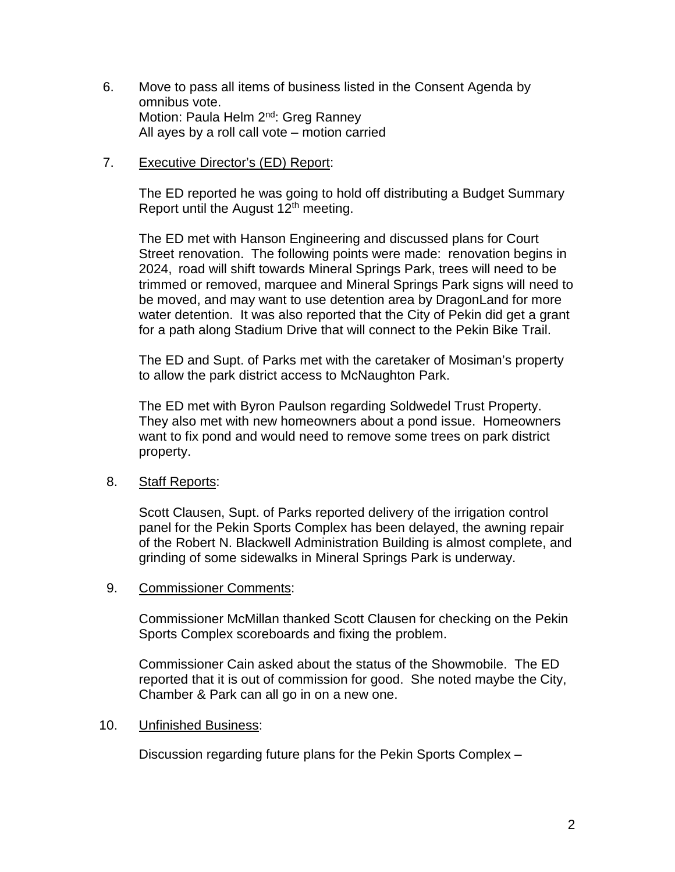- 6. Move to pass all items of business listed in the Consent Agenda by omnibus vote. Motion: Paula Helm 2<sup>nd</sup>: Greg Ranney All ayes by a roll call vote – motion carried
- 7. Executive Director's (ED) Report:

The ED reported he was going to hold off distributing a Budget Summary Report until the August  $12<sup>th</sup>$  meeting.

The ED met with Hanson Engineering and discussed plans for Court Street renovation. The following points were made: renovation begins in 2024, road will shift towards Mineral Springs Park, trees will need to be trimmed or removed, marquee and Mineral Springs Park signs will need to be moved, and may want to use detention area by DragonLand for more water detention. It was also reported that the City of Pekin did get a grant for a path along Stadium Drive that will connect to the Pekin Bike Trail.

The ED and Supt. of Parks met with the caretaker of Mosiman's property to allow the park district access to McNaughton Park.

The ED met with Byron Paulson regarding Soldwedel Trust Property. They also met with new homeowners about a pond issue. Homeowners want to fix pond and would need to remove some trees on park district property.

#### 8. Staff Reports:

Scott Clausen, Supt. of Parks reported delivery of the irrigation control panel for the Pekin Sports Complex has been delayed, the awning repair of the Robert N. Blackwell Administration Building is almost complete, and grinding of some sidewalks in Mineral Springs Park is underway.

#### 9. Commissioner Comments:

Commissioner McMillan thanked Scott Clausen for checking on the Pekin Sports Complex scoreboards and fixing the problem.

Commissioner Cain asked about the status of the Showmobile. The ED reported that it is out of commission for good. She noted maybe the City, Chamber & Park can all go in on a new one.

#### 10. Unfinished Business:

Discussion regarding future plans for the Pekin Sports Complex –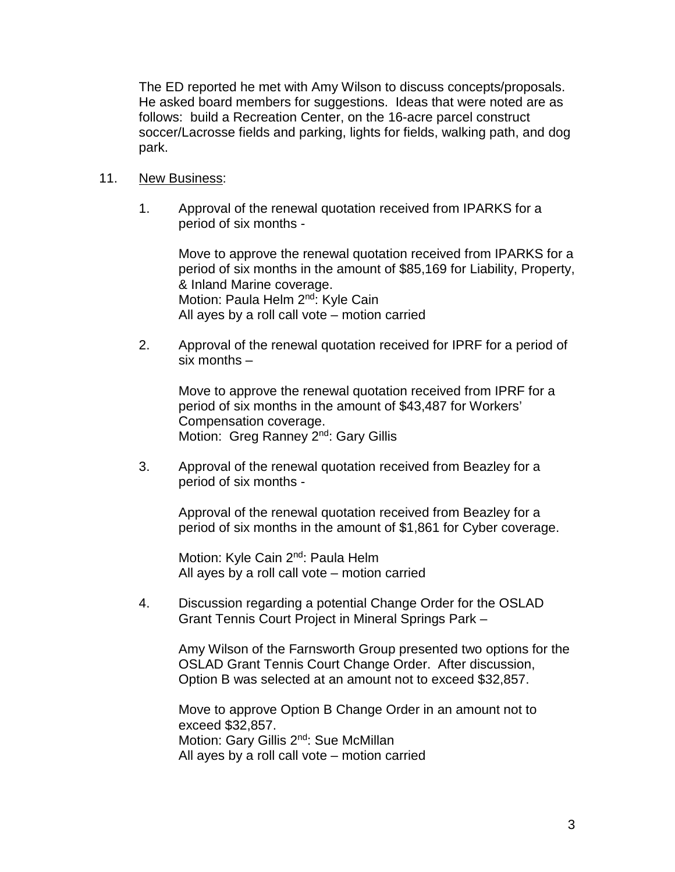The ED reported he met with Amy Wilson to discuss concepts/proposals. He asked board members for suggestions. Ideas that were noted are as follows: build a Recreation Center, on the 16-acre parcel construct soccer/Lacrosse fields and parking, lights for fields, walking path, and dog park.

# 11. New Business:

1. Approval of the renewal quotation received from IPARKS for a period of six months -

Move to approve the renewal quotation received from IPARKS for a period of six months in the amount of \$85,169 for Liability, Property, & Inland Marine coverage. Motion: Paula Helm 2<sup>nd</sup>: Kyle Cain All ayes by a roll call vote – motion carried

2. Approval of the renewal quotation received for IPRF for a period of six months –

Move to approve the renewal quotation received from IPRF for a period of six months in the amount of \$43,487 for Workers' Compensation coverage. Motion: Greg Ranney 2<sup>nd</sup>: Gary Gillis

3. Approval of the renewal quotation received from Beazley for a period of six months -

Approval of the renewal quotation received from Beazley for a period of six months in the amount of \$1,861 for Cyber coverage.

Motion: Kyle Cain 2<sup>nd</sup>: Paula Helm All ayes by a roll call vote – motion carried

4. Discussion regarding a potential Change Order for the OSLAD Grant Tennis Court Project in Mineral Springs Park –

Amy Wilson of the Farnsworth Group presented two options for the OSLAD Grant Tennis Court Change Order. After discussion, Option B was selected at an amount not to exceed \$32,857.

Move to approve Option B Change Order in an amount not to exceed \$32,857. Motion: Gary Gillis 2<sup>nd</sup>: Sue McMillan All ayes by a roll call vote – motion carried